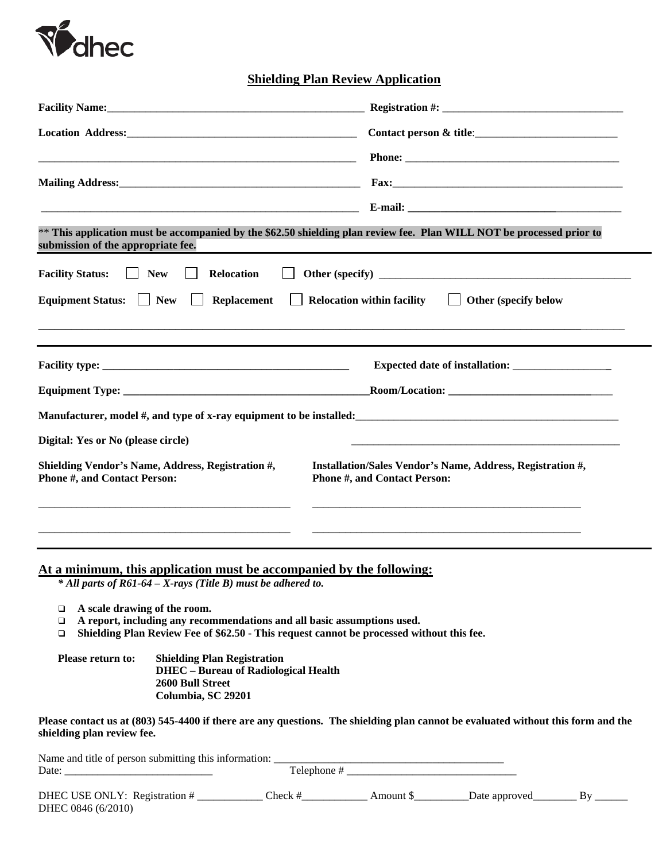

**Shielding Plan Review Application**

| Facility Name: 1988 and 1989 and 1989 and 1989 and 1989 and 1989 and 1989 and 1989 and 1989 and 1989 and 1989 and 1989 and 1989 and 1989 and 1989 and 1989 and 1989 and 1989 and 1989 and 1989 and 1989 and 1989 and 1989 and       | Registration #:                                                                                                                                                                                                                |  |  |
|-------------------------------------------------------------------------------------------------------------------------------------------------------------------------------------------------------------------------------------|--------------------------------------------------------------------------------------------------------------------------------------------------------------------------------------------------------------------------------|--|--|
| <b>Location Address:</b> the contract of the contract of the contract of the contract of the contract of the contract of the contract of the contract of the contract of the contract of the contract of the contract of the contra | Contact person & title:                                                                                                                                                                                                        |  |  |
| <u> 2001 - 2002 - 2003 - 2004 - 2005 - 2006 - 2007 - 2008 - 2008 - 2008 - 2008 - 2008 - 2008 - 2008 - 2008 - 200</u>                                                                                                                |                                                                                                                                                                                                                                |  |  |
|                                                                                                                                                                                                                                     | Mailing Address: The Committee of the Committee of the Committee of the Committee of the Committee of the Committee of the Committee of the Committee of the Committee of the Committee of the Committee of the Committee of t |  |  |
|                                                                                                                                                                                                                                     |                                                                                                                                                                                                                                |  |  |
| submission of the appropriate fee.                                                                                                                                                                                                  | ** This application must be accompanied by the \$62.50 shielding plan review fee. Plan WILL NOT be processed prior to                                                                                                          |  |  |
| <b>Facility Status:</b><br><b>New</b><br>Relocation<br>$\perp$                                                                                                                                                                      |                                                                                                                                                                                                                                |  |  |
| Replacement<br><b>Equipment Status:</b><br>$\vert$   New                                                                                                                                                                            | <b>Relocation within facility</b><br>  Other (specify below                                                                                                                                                                    |  |  |
|                                                                                                                                                                                                                                     |                                                                                                                                                                                                                                |  |  |
|                                                                                                                                                                                                                                     |                                                                                                                                                                                                                                |  |  |
|                                                                                                                                                                                                                                     |                                                                                                                                                                                                                                |  |  |
|                                                                                                                                                                                                                                     |                                                                                                                                                                                                                                |  |  |
|                                                                                                                                                                                                                                     | Manufacturer, model #, and type of x-ray equipment to be installed:                                                                                                                                                            |  |  |
| Digital: Yes or No (please circle)                                                                                                                                                                                                  |                                                                                                                                                                                                                                |  |  |
| Shielding Vendor's Name, Address, Registration #,<br>Installation/Sales Vendor's Name, Address, Registration #,<br><b>Phone #, and Contact Person:</b><br><b>Phone #, and Contact Person:</b>                                       |                                                                                                                                                                                                                                |  |  |
|                                                                                                                                                                                                                                     |                                                                                                                                                                                                                                |  |  |
|                                                                                                                                                                                                                                     |                                                                                                                                                                                                                                |  |  |
| At a minimum, this application must be accompanied by the following:                                                                                                                                                                |                                                                                                                                                                                                                                |  |  |
| * All parts of R61-64 - X-rays (Title B) must be adhered to.                                                                                                                                                                        |                                                                                                                                                                                                                                |  |  |
| A scale drawing of the room.<br>□<br>A report, including any recommendations and all basic assumptions used.<br>□                                                                                                                   |                                                                                                                                                                                                                                |  |  |

**Shielding Plan Review Fee of \$62.50 - This request cannot be processed without this fee.**

**Please return to: Shielding Plan Registration DHEC – Bureau of Radiological Health 2600 Bull Street Columbia, SC 29201** 

**Please contact us at (803) 545-4400 if there are any questions. The shielding plan cannot be evaluated without this form and the shielding plan review fee.** 

| Name and title of person submitting this information: |             |          |               |  |  |  |
|-------------------------------------------------------|-------------|----------|---------------|--|--|--|
| Date:                                                 | Telephone # |          |               |  |  |  |
| DHEC USE ONLY: Registration #<br>DHEC 0846 (6/2010)   | $Check \#$  | Amount S | Date approved |  |  |  |